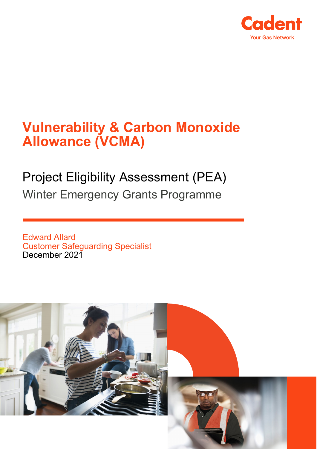

# **Vulnerability & Carbon Monoxide Allowance (VCMA)**

# Project Eligibility Assessment (PEA) Winter Emergency Grants Programme

Edward Allard Customer Safeguarding Specialist December 2021

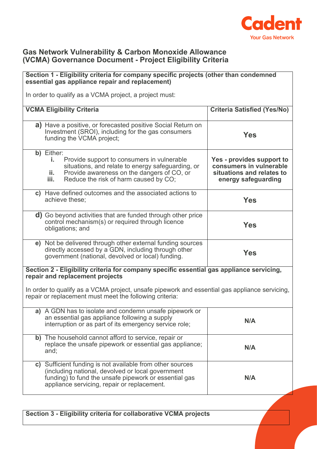

#### **Gas Network Vulnerability & Carbon Monoxide Allowance (VCMA) Governance Document - Project Eligibility Criteria**

## **Section 1 - Eligibility criteria for company specific projects (other than condemned essential gas appliance repair and replacement)** In order to qualify as a VCMA project, a project must: **VCMA Eligibility Criteria Criteria Satisfied (Yes/No) a)** Have a positive, or forecasted positive Social Return on Investment (SROI), including for the gas consumers funding the VCMA project; **Yes b)** Either: **i.** Provide support to consumers in vulnerable situations, and relate to energy safeguarding, or **ii.** Provide awareness on the dangers of CO, or<br>**iii.** Reduce the risk of harm caused by CO. Reduce the risk of harm caused by CO; **Yes - provides support to consumers in vulnerable situations and relates to energy safeguarding c)** Have defined outcomes and the associated actions to achieve these; **Yes d)** Go beyond activities that are funded through other price control mechanism(s) or required through licence obligations; and **Yes e)** Not be delivered through other external funding sources directly accessed by a GDN, including through other government (national, devolved or local) funding. **Yes Section 2 - Eligibility criteria for company specific essential gas appliance servicing, repair and replacement projects** In order to qualify as a VCMA project, unsafe pipework and essential gas appliance servicing, repair or replacement must meet the following criteria: **a)** A GDN has to isolate and condemn unsafe pipework or an essential gas appliance following a supply an essential gas appliance ioliowing a supply<br>interruption or as part of its emergency service role; **b)** The household cannot afford to service, repair or replace the unsafe pipework or essential gas appliance; and; **N/A c)** Sufficient funding is not available from other sources (including national, devolved or local government funding) to fund the unsafe pipework or essential gas appliance servicing, repair or replacement. **N/A**

**Section 3 - Eligibility criteria for collaborative VCMA projects**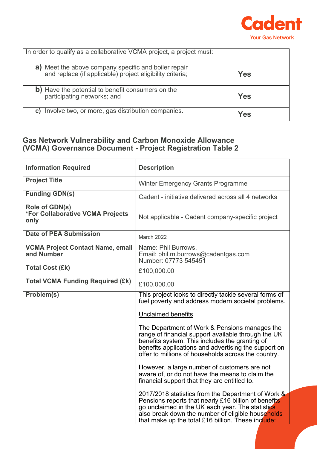

| In order to qualify as a collaborative VCMA project, a project must:                                                 |     |
|----------------------------------------------------------------------------------------------------------------------|-----|
| Meet the above company specific and boiler repair<br>a)<br>and replace (if applicable) project eligibility criteria; | Yes |
| b) Have the potential to benefit consumers on the<br>participating networks; and                                     | Yes |
| Involve two, or more, gas distribution companies.<br>C)                                                              | Yes |

### **Gas Network Vulnerability and Carbon Monoxide Allowance (VCMA) Governance Document - Project Registration Table 2**

| <b>Information Required</b>                                       | <b>Description</b>                                                                                                                                                                                                                                                        |
|-------------------------------------------------------------------|---------------------------------------------------------------------------------------------------------------------------------------------------------------------------------------------------------------------------------------------------------------------------|
| <b>Project Title</b>                                              | <b>Winter Emergency Grants Programme</b>                                                                                                                                                                                                                                  |
| <b>Funding GDN(s)</b>                                             | Cadent - initiative delivered across all 4 networks                                                                                                                                                                                                                       |
| Role of GDN(s)<br><b>*For Collaborative VCMA Projects</b><br>only | Not applicable - Cadent company-specific project                                                                                                                                                                                                                          |
| <b>Date of PEA Submission</b>                                     | March 2022                                                                                                                                                                                                                                                                |
| <b>VCMA Project Contact Name, email</b><br>and Number             | Name: Phil Burrows,<br>Email: phil.m.burrows@cadentgas.com<br>Number: 07773 545451                                                                                                                                                                                        |
| <b>Total Cost (£k)</b>                                            | £100,000.00                                                                                                                                                                                                                                                               |
| <b>Total VCMA Funding Required (£k)</b>                           | £100,000.00                                                                                                                                                                                                                                                               |
| Problem(s)                                                        | This project looks to directly tackle several forms of<br>fuel poverty and address modern societal problems.                                                                                                                                                              |
|                                                                   | <b>Unclaimed benefits</b>                                                                                                                                                                                                                                                 |
|                                                                   | The Department of Work & Pensions manages the<br>range of financial support available through the UK<br>benefits system. This includes the granting of<br>benefits applications and advertising the support on<br>offer to millions of households across the country.     |
|                                                                   | However, a large number of customers are not<br>aware of, or do not have the means to claim the<br>financial support that they are entitled to.                                                                                                                           |
|                                                                   | 2017/2018 statistics from the Department of Work &<br>Pensions reports that nearly £16 billion of benefits<br>go unclaimed in the UK each year. The statistics<br>also break down the number of eligible households<br>that make up the total £16 billion. These include: |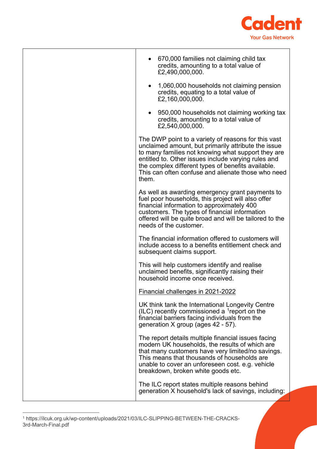

<span id="page-3-0"></span>

| • 670,000 families not claiming child tax<br>credits, amounting to a total value of<br>£2,490,000,000.                                                                                                                                                                                                                                       |
|----------------------------------------------------------------------------------------------------------------------------------------------------------------------------------------------------------------------------------------------------------------------------------------------------------------------------------------------|
| 1,060,000 households not claiming pension<br>credits, equating to a total value of<br>£2,160,000,000.                                                                                                                                                                                                                                        |
| 950,000 households not claiming working tax<br>credits, amounting to a total value of<br>£2,540,000,000.                                                                                                                                                                                                                                     |
| The DWP point to a variety of reasons for this vast<br>unclaimed amount, but primarily attribute the issue<br>to many families not knowing what support they are<br>entitled to. Other issues include varying rules and<br>the complex different types of benefits available.<br>This can often confuse and alienate those who need<br>them. |
| As well as awarding emergency grant payments to<br>fuel poor households, this project will also offer<br>financial information to approximately 400<br>customers. The types of financial information<br>offered will be quite broad and will be tailored to the<br>needs of the customer.                                                    |
| The financial information offered to customers will<br>include access to a benefits entitlement check and<br>subsequent claims support.                                                                                                                                                                                                      |
| This will help customers identify and realise<br>unclaimed benefits, significantly raising their<br>household income once received.                                                                                                                                                                                                          |
| Financial challenges in 2021-2022                                                                                                                                                                                                                                                                                                            |
| UK think tank the International Longevity Centre<br>(ILC) recently commissioned a $1$ report on the<br>financial barriers facing individuals from the<br>generation X group (ages 42 - 57).                                                                                                                                                  |
| The report details multiple financial issues facing<br>modern UK households, the results of which are<br>that many customers have very limited/no savings.<br>This means that thousands of households are<br>unable to cover an unforeseen cost. e.g. vehicle<br>breakdown, broken white goods etc.                                          |
| The ILC report states multiple reasons behind<br>generation X household's lack of savings, including:                                                                                                                                                                                                                                        |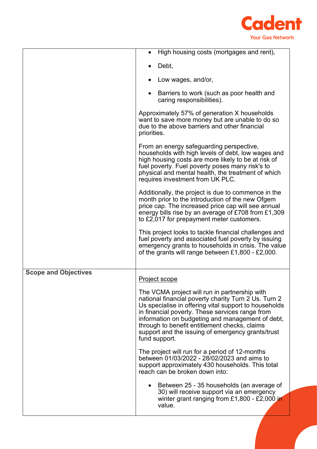

|                             | High housing costs (mortgages and rent),                                                                                                                                                                                                                                                                                                                                                     |
|-----------------------------|----------------------------------------------------------------------------------------------------------------------------------------------------------------------------------------------------------------------------------------------------------------------------------------------------------------------------------------------------------------------------------------------|
|                             | Debt,                                                                                                                                                                                                                                                                                                                                                                                        |
|                             | Low wages, and/or,                                                                                                                                                                                                                                                                                                                                                                           |
|                             | Barriers to work (such as poor health and<br>caring responsibilities).                                                                                                                                                                                                                                                                                                                       |
|                             | Approximately 57% of generation X households<br>want to save more money but are unable to do so<br>due to the above barriers and other financial<br>priorities.                                                                                                                                                                                                                              |
|                             | From an energy safeguarding perspective,<br>households with high levels of debt, low wages and<br>high housing costs are more likely to be at risk of<br>fuel poverty. Fuel poverty poses many risk's to<br>physical and mental health, the treatment of which<br>requires investment from UK PLC.                                                                                           |
|                             | Additionally, the project is due to commence in the<br>month prior to the introduction of the new Ofgem<br>price cap. The increased price cap will see annual<br>energy bills rise by an average of £708 from £1,309<br>to £2,017 for prepayment meter customers.                                                                                                                            |
|                             | This project looks to tackle financial challenges and<br>fuel poverty and associated fuel poverty by issuing<br>emergency grants to households in crisis. The value<br>of the grants will range between $£1,800 - £2,000$ .                                                                                                                                                                  |
| <b>Scope and Objectives</b> | Project scope                                                                                                                                                                                                                                                                                                                                                                                |
|                             | The VCMA project will run in partnership with<br>national financial poverty charity Turn 2 Us. Turn 2<br>Us specialise in offering vital support to households<br>in financial poverty. These services range from<br>information on budgeting and management of debt,<br>through to benefit entitlement checks, claims<br>support and the issuing of emergency grants/trust<br>fund support. |
|                             | The project will run for a period of 12-months<br>between 01/03/2022 - 28/02/2023 and aims to<br>support approximately 430 households. This total<br>reach can be broken down into:                                                                                                                                                                                                          |
|                             | • Between 25 - 35 households (an average of<br>30) will receive support via an emergency<br>winter grant ranging from £1,800 - £2,000 in<br>value.                                                                                                                                                                                                                                           |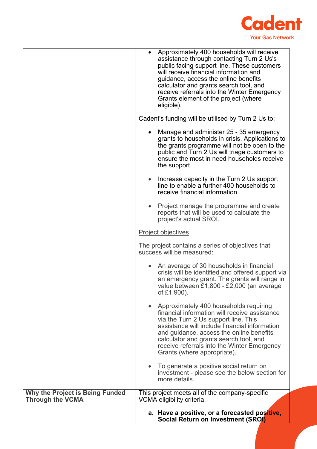

|                                                                   |           | Approximately 400 households will receive<br>assistance through contacting Turn 2 Us's<br>public facing support line. These customers<br>will receive financial information and<br>guidance, access the online benefits<br>calculator and grants search tool, and<br>receive referrals into the Winter Emergency<br>Grants element of the project (where<br>eligible). |
|-------------------------------------------------------------------|-----------|------------------------------------------------------------------------------------------------------------------------------------------------------------------------------------------------------------------------------------------------------------------------------------------------------------------------------------------------------------------------|
|                                                                   |           | Cadent's funding will be utilised by Turn 2 Us to:                                                                                                                                                                                                                                                                                                                     |
|                                                                   |           | Manage and administer 25 - 35 emergency<br>grants to households in crisis. Applications to<br>the grants programme will not be open to the<br>public and Turn 2 Us will triage customers to<br>ensure the most in need households receive<br>the support.                                                                                                              |
|                                                                   | $\bullet$ | Increase capacity in the Turn 2 Us support<br>line to enable a further 400 households to<br>receive financial information.                                                                                                                                                                                                                                             |
|                                                                   | $\bullet$ | Project manage the programme and create<br>reports that will be used to calculate the<br>project's actual SROI.                                                                                                                                                                                                                                                        |
|                                                                   |           | Project objectives                                                                                                                                                                                                                                                                                                                                                     |
|                                                                   |           | The project contains a series of objectives that<br>success will be measured:                                                                                                                                                                                                                                                                                          |
|                                                                   |           | An average of 30 households in financial<br>crisis will be identified and offered support via<br>an emergency grant. The grants will range in<br>value between £1,800 - £2,000 (an average<br>of £1,900).                                                                                                                                                              |
|                                                                   | $\bullet$ | Approximately 400 households requiring<br>financial information will receive assistance<br>via the Turn 2 Us support line. This<br>assistance will include financial information<br>and guidance, access the online benefits<br>calculator and grants search tool, and<br>receive referrals into the Winter Emergency<br>Grants (where appropriate).                   |
|                                                                   | $\bullet$ | To generate a positive social return on<br>investment - please see the below section for<br>more details.                                                                                                                                                                                                                                                              |
| <b>Why the Project is Being Funded</b><br><b>Through the VCMA</b> |           | This project meets all of the company-specific<br>VCMA eligibility criteria.                                                                                                                                                                                                                                                                                           |
|                                                                   |           | a. Have a positive, or a forecasted positive,<br><b>Social Return on Investment (SROI)</b>                                                                                                                                                                                                                                                                             |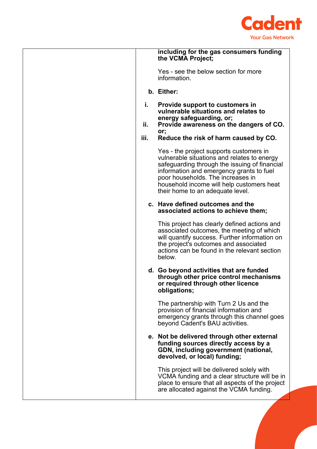

|      | including for the gas consumers funding<br>the VCMA Project;                                                                                                                                                                                                                                              |
|------|-----------------------------------------------------------------------------------------------------------------------------------------------------------------------------------------------------------------------------------------------------------------------------------------------------------|
|      | Yes - see the below section for more<br>information.                                                                                                                                                                                                                                                      |
|      | b. Either:                                                                                                                                                                                                                                                                                                |
| i.   | <b>Provide support to customers in</b><br>vulnerable situations and relates to                                                                                                                                                                                                                            |
| ii.  | energy safeguarding, or;<br>Provide awareness on the dangers of CO.                                                                                                                                                                                                                                       |
| iii. | or;<br>Reduce the risk of harm caused by CO.                                                                                                                                                                                                                                                              |
|      | Yes - the project supports customers in<br>vulnerable situations and relates to energy<br>safeguarding through the issuing of financial<br>information and emergency grants to fuel<br>poor households. The increases in<br>household income will help customers heat<br>their home to an adequate level. |
|      | c. Have defined outcomes and the<br>associated actions to achieve them;                                                                                                                                                                                                                                   |
|      | This project has clearly defined actions and<br>associated outcomes, the meeting of which<br>will quantify success. Further information on<br>the project's outcomes and associated<br>actions can be found in the relevant section<br>below.                                                             |
|      | d. Go beyond activities that are funded<br>through other price control mechanisms<br>or required through other licence<br>obligations;                                                                                                                                                                    |
|      | The partnership with Turn 2 Us and the<br>provision of financial information and<br>emergency grants through this channel goes<br>beyond Cadent's BAU activities.                                                                                                                                         |
|      | e. Not be delivered through other external<br>funding sources directly access by a<br>GDN, including government (national,<br>devolved, or local) funding;                                                                                                                                                |
|      | This project will be delivered solely with<br>VCMA funding and a clear structure will be in<br>place to ensure that all aspects of the project<br>are allocated against the VCMA funding.                                                                                                                 |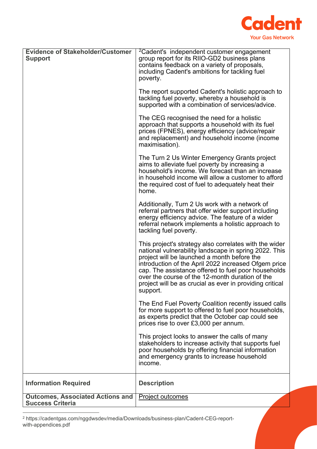

| <b>Evidence of Stakeholder/Customer</b><br><b>Support</b>          | <sup>2</sup> Cadent's independent customer engagement<br>group report for its RIIO-GD2 business plans<br>contains feedback on a variety of proposals,<br>including Cadent's ambitions for tackling fuel<br>poverty.                                                                                                                                                                                      |
|--------------------------------------------------------------------|----------------------------------------------------------------------------------------------------------------------------------------------------------------------------------------------------------------------------------------------------------------------------------------------------------------------------------------------------------------------------------------------------------|
|                                                                    | The report supported Cadent's holistic approach to<br>tackling fuel poverty, whereby a household is<br>supported with a combination of services/advice.                                                                                                                                                                                                                                                  |
|                                                                    | The CEG recognised the need for a holistic<br>approach that supports a household with its fuel<br>prices (FPNES), energy efficiency (advice/repair<br>and replacement) and household income (income<br>maximisation).                                                                                                                                                                                    |
|                                                                    | The Turn 2 Us Winter Emergency Grants project<br>aims to alleviate fuel poverty by increasing a<br>household's income. We forecast than an increase<br>in household income will allow a customer to afford<br>the required cost of fuel to adequately heat their<br>home.                                                                                                                                |
|                                                                    | Additionally, Turn 2 Us work with a network of<br>referral partners that offer wider support including<br>energy efficiency advice. The feature of a wider<br>referral network implements a holistic approach to<br>tackling fuel poverty.                                                                                                                                                               |
|                                                                    | This project's strategy also correlates with the wider<br>national vulnerability landscape in spring 2022. This<br>project will be launched a month before the<br>introduction of the April 2022 increased Ofgem price<br>cap. The assistance offered to fuel poor households<br>over the course of the 12-month duration of the<br>project will be as crucial as ever in providing critical<br>support. |
|                                                                    | The End Fuel Poverty Coalition recently issued calls<br>for more support to offered to fuel poor households,<br>as experts predict that the October cap could see<br>prices rise to over £3,000 per annum.                                                                                                                                                                                               |
|                                                                    | This project looks to answer the calls of many<br>stakeholders to increase activity that supports fuel<br>poor households by offering financial information<br>and emergency grants to increase household<br>income.                                                                                                                                                                                     |
| <b>Information Required</b>                                        | <b>Description</b>                                                                                                                                                                                                                                                                                                                                                                                       |
| <b>Outcomes, Associated Actions and</b><br><b>Success Criteria</b> | Project outcomes                                                                                                                                                                                                                                                                                                                                                                                         |

<span id="page-7-0"></span><sup>2</sup> https://cadentgas.com/nggdwsdev/media/Downloads/business-plan/Cadent-CEG-reportwith-appendices.pdf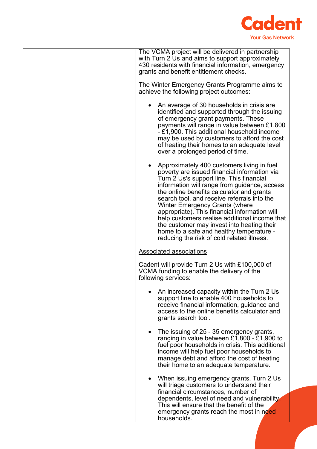

| The VCMA project will be delivered in partnership<br>with Turn 2 Us and aims to support approximately<br>430 residents with financial information, emergency<br>grants and benefit entitlement checks.                                                                                                                                                                                                                                                                                                                                                                |
|-----------------------------------------------------------------------------------------------------------------------------------------------------------------------------------------------------------------------------------------------------------------------------------------------------------------------------------------------------------------------------------------------------------------------------------------------------------------------------------------------------------------------------------------------------------------------|
| The Winter Emergency Grants Programme aims to<br>achieve the following project outcomes:                                                                                                                                                                                                                                                                                                                                                                                                                                                                              |
| An average of 30 households in crisis are<br>identified and supported through the issuing<br>of emergency grant payments. These<br>payments will range in value between £1,800<br>- £1,900. This additional household income<br>may be used by customers to afford the cost<br>of heating their homes to an adequate level<br>over a prolonged period of time.                                                                                                                                                                                                        |
| Approximately 400 customers living in fuel<br>poverty are issued financial information via<br>Turn 2 Us's support line. This financial<br>information will range from guidance, access<br>the online benefits calculator and grants<br>search tool, and receive referrals into the<br><b>Winter Emergency Grants (where</b><br>appropriate). This financial information will<br>help customers realise additional income that<br>the customer may invest into heating their<br>home to a safe and healthy temperature -<br>reducing the risk of cold related illness. |
| <b>Associated associations</b>                                                                                                                                                                                                                                                                                                                                                                                                                                                                                                                                        |
| Cadent will provide Turn 2 Us with £100,000 of<br>VCMA funding to enable the delivery of the<br>following services:                                                                                                                                                                                                                                                                                                                                                                                                                                                   |
| An increased capacity within the Turn 2 Us<br>support line to enable 400 households to<br>receive financial information, guidance and<br>access to the online benefits calculator and<br>grants search tool.                                                                                                                                                                                                                                                                                                                                                          |
| The issuing of 25 - 35 emergency grants,<br>ranging in value between £1,800 - £1,900 to<br>fuel poor households in crisis. This additional<br>income will help fuel poor households to<br>manage debt and afford the cost of heating<br>their home to an adequate temperature.                                                                                                                                                                                                                                                                                        |
| When issuing emergency grants, Turn 2 Us<br>will triage customers to understand their<br>financial circumstances, number of<br>dependents, level of need and vulnerability.<br>This will ensure that the benefit of the<br>emergency grants reach the most in need<br>households.                                                                                                                                                                                                                                                                                     |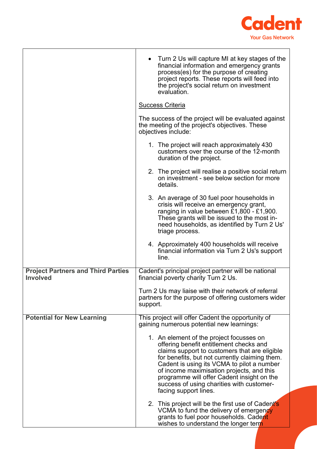

|                                                              | • Turn 2 Us will capture MI at key stages of the<br>financial information and emergency grants<br>process(es) for the purpose of creating<br>project reports. These reports will feed into<br>the project's social return on investment<br>evaluation.                                                                                                                                                |
|--------------------------------------------------------------|-------------------------------------------------------------------------------------------------------------------------------------------------------------------------------------------------------------------------------------------------------------------------------------------------------------------------------------------------------------------------------------------------------|
|                                                              | Success Criteria                                                                                                                                                                                                                                                                                                                                                                                      |
|                                                              | The success of the project will be evaluated against<br>the meeting of the project's objectives. These<br>objectives include:                                                                                                                                                                                                                                                                         |
|                                                              | 1. The project will reach approximately 430<br>customers over the course of the 12-month<br>duration of the project.                                                                                                                                                                                                                                                                                  |
|                                                              | 2. The project will realise a positive social return<br>on investment - see below section for more<br>details.                                                                                                                                                                                                                                                                                        |
|                                                              | 3. An average of 30 fuel poor households in<br>crisis will receive an emergency grant,<br>ranging in value between £1,800 - £1,900.<br>These grants will be issued to the most in-<br>need households, as identified by Turn 2 Us'<br>triage process.                                                                                                                                                 |
|                                                              | 4. Approximately 400 households will receive<br>financial information via Turn 2 Us's support<br>line.                                                                                                                                                                                                                                                                                                |
| <b>Project Partners and Third Parties</b><br><b>Involved</b> | Cadent's principal project partner will be national<br>financial poverty charity Turn 2 Us.                                                                                                                                                                                                                                                                                                           |
|                                                              | Turn 2 Us may liaise with their network of referral<br>partners for the purpose of offering customers wider<br>support.                                                                                                                                                                                                                                                                               |
| <b>Potential for New Learning</b>                            | This project will offer Cadent the opportunity of<br>gaining numerous potential new learnings:                                                                                                                                                                                                                                                                                                        |
|                                                              | 1. An element of the project focusses on<br>offering benefit entitlement checks and<br>claims support to customers that are eligible<br>for benefits, but not currently claiming them.<br>Cadent is using its VCMA to pilot a number<br>of income maximisation projects, and this<br>programme will offer Cadent insight on the<br>success of using charities with customer-<br>facing support lines. |
|                                                              | 2. This project will be the first use of Cadent's<br>VCMA to fund the delivery of emergency<br>grants to fuel poor households. Cadent<br>wishes to understand the longer term                                                                                                                                                                                                                         |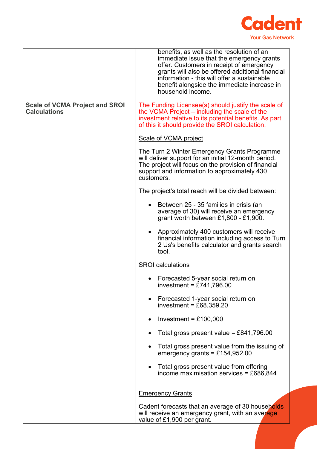

|                                                              | benefits, as well as the resolution of an<br>immediate issue that the emergency grants<br>offer. Customers in receipt of emergency<br>grants will also be offered additional financial<br>information - this will offer a sustainable<br>benefit alongside the immediate increase in<br>household income. |
|--------------------------------------------------------------|-----------------------------------------------------------------------------------------------------------------------------------------------------------------------------------------------------------------------------------------------------------------------------------------------------------|
| <b>Scale of VCMA Project and SROI</b><br><b>Calculations</b> | The Funding Licensee(s) should justify the scale of<br>the VCMA Project – including the scale of the<br>investment relative to its potential benefits. As part<br>of this it should provide the SROI calculation.                                                                                         |
|                                                              | Scale of VCMA project                                                                                                                                                                                                                                                                                     |
|                                                              | The Turn 2 Winter Emergency Grants Programme<br>will deliver support for an initial 12-month period.<br>The project will focus on the provision of financial<br>support and information to approximately 430<br>customers.                                                                                |
|                                                              | The project's total reach will be divided between:                                                                                                                                                                                                                                                        |
|                                                              | Between 25 - 35 families in crisis (an<br>average of 30) will receive an emergency<br>grant worth between $£1,800 - £1,900$ .                                                                                                                                                                             |
|                                                              | Approximately 400 customers will receive<br>financial information including access to Turn<br>2 Us's benefits calculator and grants search<br>tool.                                                                                                                                                       |
|                                                              | <b>SROI</b> calculations                                                                                                                                                                                                                                                                                  |
|                                                              | Forecasted 5-year social return on<br>investment = £741,796.00                                                                                                                                                                                                                                            |
|                                                              | Forecasted 1-year social return on<br>investment = $£68,359.20$                                                                                                                                                                                                                                           |
|                                                              | Investment = $£100,000$<br>$\bullet$                                                                                                                                                                                                                                                                      |
|                                                              | Total gross present value = £841,796.00                                                                                                                                                                                                                                                                   |
|                                                              | Total gross present value from the issuing of<br>emergency grants = £154,952.00                                                                                                                                                                                                                           |
|                                                              | Total gross present value from offering<br>income maximisation services = £686,844                                                                                                                                                                                                                        |
|                                                              | <b>Emergency Grants</b>                                                                                                                                                                                                                                                                                   |
|                                                              | Cadent forecasts that an average of 30 households<br>will receive an emergency grant, with an average<br>value of £1,900 per grant.                                                                                                                                                                       |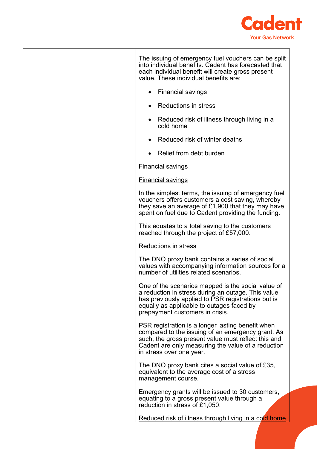

| The issuing of emergency fuel vouchers can be split<br>into individual benefits. Cadent has forecasted that<br>each individual benefit will create gross present<br>value. These individual benefits are:                                       |
|-------------------------------------------------------------------------------------------------------------------------------------------------------------------------------------------------------------------------------------------------|
| • Financial savings                                                                                                                                                                                                                             |
| <b>Reductions in stress</b>                                                                                                                                                                                                                     |
| Reduced risk of illness through living in a<br>cold home                                                                                                                                                                                        |
| Reduced risk of winter deaths<br>$\bullet$                                                                                                                                                                                                      |
| • Relief from debt burden                                                                                                                                                                                                                       |
| <b>Financial savings</b>                                                                                                                                                                                                                        |
| <b>Financial savings</b>                                                                                                                                                                                                                        |
| In the simplest terms, the issuing of emergency fuel<br>vouchers offers customers a cost saving, whereby<br>they save an average of $£1,900$ that they may have<br>spent on fuel due to Cadent providing the funding.                           |
| This equates to a total saving to the customers<br>reached through the project of £57,000.                                                                                                                                                      |
| <b>Reductions in stress</b>                                                                                                                                                                                                                     |
| The DNO proxy bank contains a series of social<br>values with accompanying information sources for a<br>number of utilities related scenarios.                                                                                                  |
| One of the scenarios mapped is the social value of<br>a reduction in stress during an outage. This value<br>has previously applied to PSR registrations but is<br>equally as applicable to outages faced by<br>prepayment customers in crisis.  |
| PSR registration is a longer lasting benefit when<br>compared to the issuing of an emergency grant. As<br>such, the gross present value must reflect this and<br>Cadent are only measuring the value of a reduction<br>in stress over one year. |
| The DNO proxy bank cites a social value of £35,<br>equivalent to the average cost of a stress<br>management course.                                                                                                                             |
| Emergency grants will be issued to 30 customers,<br>equating to a gross present value through a<br>reduction in stress of £1,050.                                                                                                               |
| Reduced risk of illness through living in a cold home                                                                                                                                                                                           |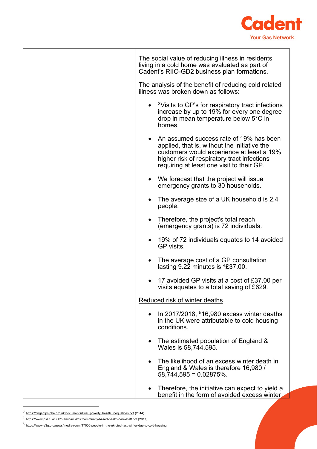

| The social value of reducing illness in residents<br>living in a cold home was evaluated as part of<br>Cadent's RIIO-GD2 business plan formations.                                                                                            |
|-----------------------------------------------------------------------------------------------------------------------------------------------------------------------------------------------------------------------------------------------|
| The analysis of the benefit of reducing cold related<br>illness was broken down as follows:                                                                                                                                                   |
| <sup>3</sup> Visits to GP's for respiratory tract infections<br>$\bullet$<br>increase by up to 19% for every one degree<br>drop in mean temperature below 5°C in<br>homes.                                                                    |
| An assumed success rate of 19% has been<br>$\bullet$<br>applied, that is, without the initiative the<br>customers would experience at least a 19%<br>higher risk of respiratory tract infections<br>requiring at least one visit to their GP. |
| • We forecast that the project will issue<br>emergency grants to 30 households.                                                                                                                                                               |
| The average size of a UK household is 2.4<br>$\bullet$<br>people.                                                                                                                                                                             |
| Therefore, the project's total reach<br>$\bullet$<br>(emergency grants) is 72 individuals.                                                                                                                                                    |
| 19% of 72 individuals equates to 14 avoided<br>$\bullet$<br>GP visits.                                                                                                                                                                        |
| The average cost of a GP consultation<br>$\bullet$<br>lasting $9.22$ minutes is $4E37.00$ .                                                                                                                                                   |
| 17 avoided GP visits at a cost of £37.00 per<br>visits equates to a total saving of £629.                                                                                                                                                     |
| Reduced risk of winter deaths                                                                                                                                                                                                                 |
| In 2017/2018, $516,980$ excess winter deaths<br>in the UK were attributable to cold housing<br>conditions.                                                                                                                                    |
| The estimated population of England &<br>$\bullet$<br>Wales is 58,744,595.                                                                                                                                                                    |
| The likelihood of an excess winter death in<br>$\bullet$<br>England & Wales is therefore 16,980 /<br>$58,744,595 = 0.02875\%$ .                                                                                                               |
| Therefore, the initiative can expect to yield a<br>$\bullet$<br>benefit in the form of avoided excess winter                                                                                                                                  |

<span id="page-12-0"></span> $3$  [https://fingertips.phe.org.uk/documents/Fuel\\_poverty\\_health\\_inequalities.pdf](https://fingertips.phe.org.uk/documents/Fuel_poverty_health_inequalities.pdf) (2014)

<sup>4</sup> <https://www.pssru.ac.uk/pub/uc/uc2017/community-based-health-care-staff.pdf> (2017)

<span id="page-12-2"></span><span id="page-12-1"></span><sup>5</sup> https://www.e3g.org/news/media-room/17000-people-in-the-uk-died-last-winter-due-to-cold-housing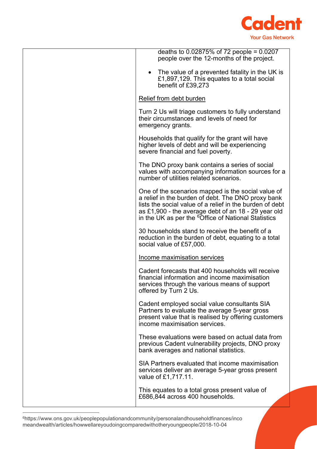

| deaths to $0.02875%$ of 72 people = 0.0207<br>people over the 12-months of the project.                                                                                                                                                                                                          |
|--------------------------------------------------------------------------------------------------------------------------------------------------------------------------------------------------------------------------------------------------------------------------------------------------|
| The value of a prevented fatality in the UK is<br>$\bullet$<br>£1,897,129. This equates to a total social<br>benefit of £39,273                                                                                                                                                                  |
| Relief from debt burden                                                                                                                                                                                                                                                                          |
| Turn 2 Us will triage customers to fully understand<br>their circumstances and levels of need for<br>emergency grants.                                                                                                                                                                           |
| Households that qualify for the grant will have<br>higher levels of debt and will be experiencing<br>severe financial and fuel poverty.                                                                                                                                                          |
| The DNO proxy bank contains a series of social<br>values with accompanying information sources for a<br>number of utilities related scenarios.                                                                                                                                                   |
| One of the scenarios mapped is the social value of<br>a relief in the burden of debt. The DNO proxy bank<br>lists the social value of a relief in the burden of debt<br>as £1,900 - the average debt of an $18 - 29$ year old<br>in the UK as per the <sup>6</sup> Office of National Statistics |
| 30 households stand to receive the benefit of a<br>reduction in the burden of debt, equating to a total<br>social value of £57,000.                                                                                                                                                              |
| Income maximisation services                                                                                                                                                                                                                                                                     |
| Cadent forecasts that 400 households will receive<br>financial information and income maximisation<br>services through the various means of support<br>offered by Turn 2 Us.                                                                                                                     |
| Cadent employed social value consultants SIA<br>Partners to evaluate the average 5-year gross<br>present value that is realised by offering customers<br>income maximisation services.                                                                                                           |
| These evaluations were based on actual data from<br>previous Cadent vulnerability projects, DNO proxy<br>bank averages and national statistics.                                                                                                                                                  |
| SIA Partners evaluated that income maximisation<br>services deliver an average 5-year gross present<br>value of £1,717.11.                                                                                                                                                                       |
| This equates to a total gross present value of<br>£686,844 across 400 households.                                                                                                                                                                                                                |

<span id="page-13-0"></span> $^6$ https://www.ons.gov.uk/peoplepopulationandcommunity/personalandhouseholdfinances/inco meandwealth/articles/howwellareyoudoingcomparedwithotheryoungpeople/2018-10-04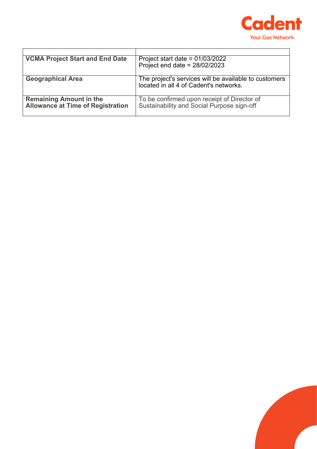

| <b>VCMA Project Start and End Date</b>                                     | Project start date = $01/03/2022$                                                               |
|----------------------------------------------------------------------------|-------------------------------------------------------------------------------------------------|
|                                                                            | Project end date = $28/02/2023$                                                                 |
| <b>Geographical Area</b>                                                   | The project's services will be available to customers<br>located in all 4 of Cadent's networks. |
| <b>Remaining Amount in the</b><br><b>Allowance at Time of Registration</b> | To be confirmed upon receipt of Director of<br>Sustainability and Social Purpose sign-off       |